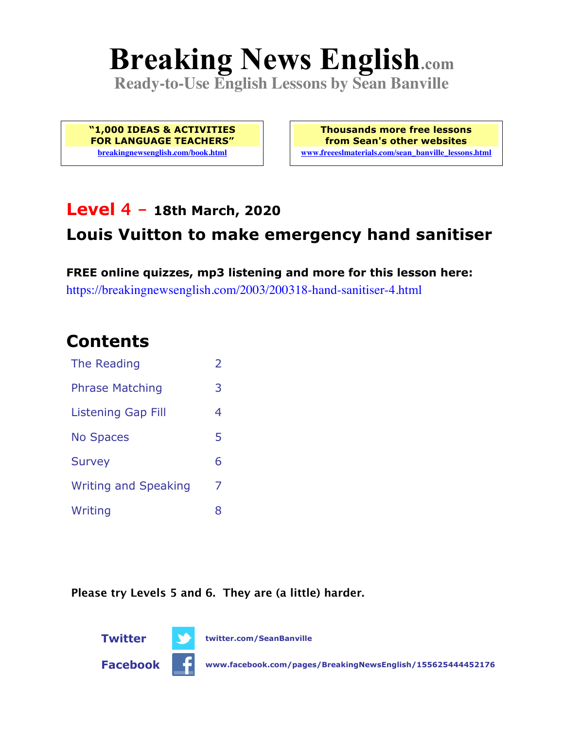# **Breaking News English.com**

**Ready-to-Use English Lessons by Sean Banville**

**"1,000 IDEAS & ACTIVITIES FOR LANGUAGE TEACHERS" breakingnewsenglish.com/book.html**

**Thousands more free lessons from Sean's other websites www.freeeslmaterials.com/sean\_banville\_lessons.html**

### **Level 4 - 18th March, 2020**

### **Louis Vuitton to make emergency hand sanitiser**

**FREE online quizzes, mp3 listening and more for this lesson here:** https://breakingnewsenglish.com/2003/200318-hand-sanitiser-4.html

### **Contents**

| The Reading                 | $\overline{2}$ |
|-----------------------------|----------------|
| <b>Phrase Matching</b>      | 3              |
| Listening Gap Fill          | 4              |
| <b>No Spaces</b>            | 5              |
| <b>Survey</b>               | 6              |
| <b>Writing and Speaking</b> | 7              |
| Writing                     | 8              |

**Please try Levels 5 and 6. They are (a little) harder.**





**Facebook www.facebook.com/pages/BreakingNewsEnglish/155625444452176**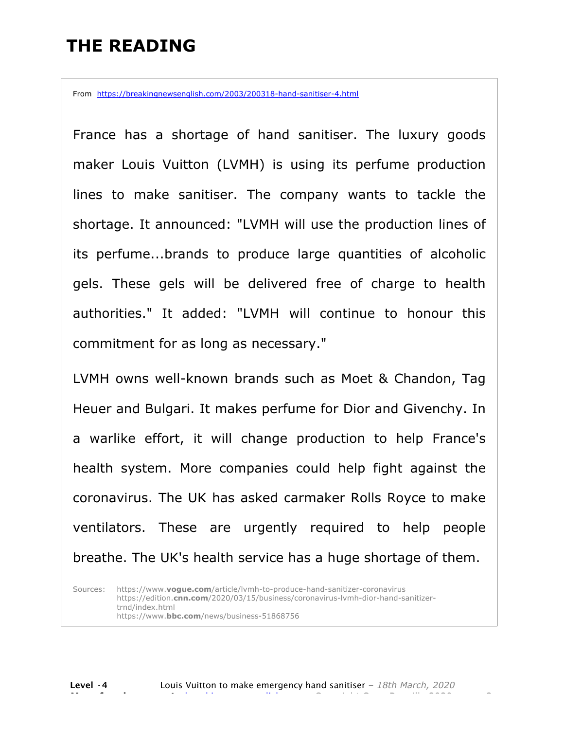### **THE READING**

From https://breakingnewsenglish.com/2003/200318-hand-sanitiser-4.html

France has a shortage of hand sanitiser. The luxury goods maker Louis Vuitton (LVMH) is using its perfume production lines to make sanitiser. The company wants to tackle the shortage. It announced: "LVMH will use the production lines of its perfume...brands to produce large quantities of alcoholic gels. These gels will be delivered free of charge to health authorities." It added: "LVMH will continue to honour this commitment for as long as necessary."

LVMH owns well-known brands such as Moet & Chandon, Tag Heuer and Bulgari. It makes perfume for Dior and Givenchy. In a warlike effort, it will change production to help France's health system. More companies could help fight against the coronavirus. The UK has asked carmaker Rolls Royce to make ventilators. These are urgently required to help people breathe. The UK's health service has a huge shortage of them.

Sources: https://www.**vogue.com**/article/lvmh-to-produce-hand-sanitizer-coronavirus https://edition.**cnn.com**/2020/03/15/business/coronavirus-lvmh-dior-hand-sanitizertrnd/index.html https://www.**bbc.com**/news/business-51868756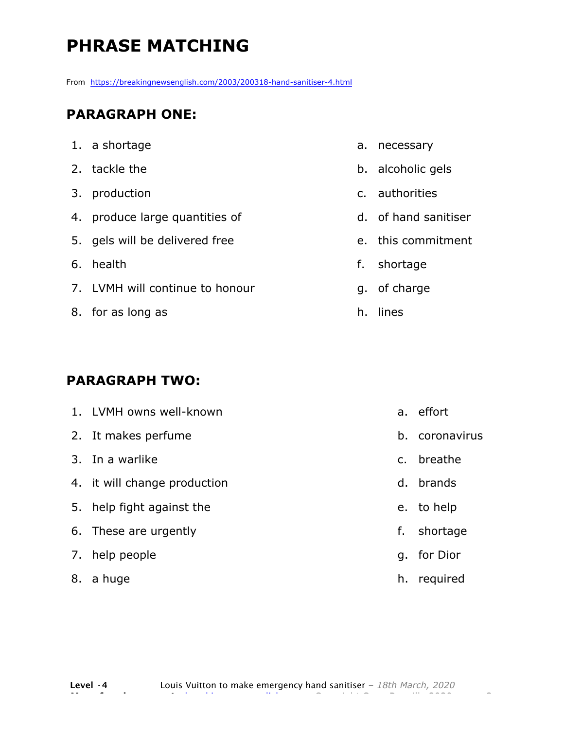# **PHRASE MATCHING**

From https://breakingnewsenglish.com/2003/200318-hand-sanitiser-4.html

#### **PARAGRAPH ONE:**

| 1. a shortage |
|---------------|
|               |

- 2. tackle the
- 3. production
- 4. produce large quantities of
- 5. gels will be delivered free
- 6. health
- 7. LVMH will continue to honour
- 8. for as long as

#### **PARAGRAPH TWO:**

| 1. LVMH owns well-known      |    | a. effort   |
|------------------------------|----|-------------|
| 2. It makes perfume          | b. | coronavirus |
| 3. In a warlike              |    | c. breathe  |
| 4. it will change production |    | d. brands   |
| 5. help fight against the    |    | e. to help  |
| 6. These are urgently        | f. | shortage    |
| 7. help people               |    | g. for Dior |
|                              |    |             |

8. a huge

- a. necessary
- b. alcoholic gels
- c. authorities
- d. of hand sanitiser
- e. this commitment

h. required

- f. shortage
- g. of charge
- h. lines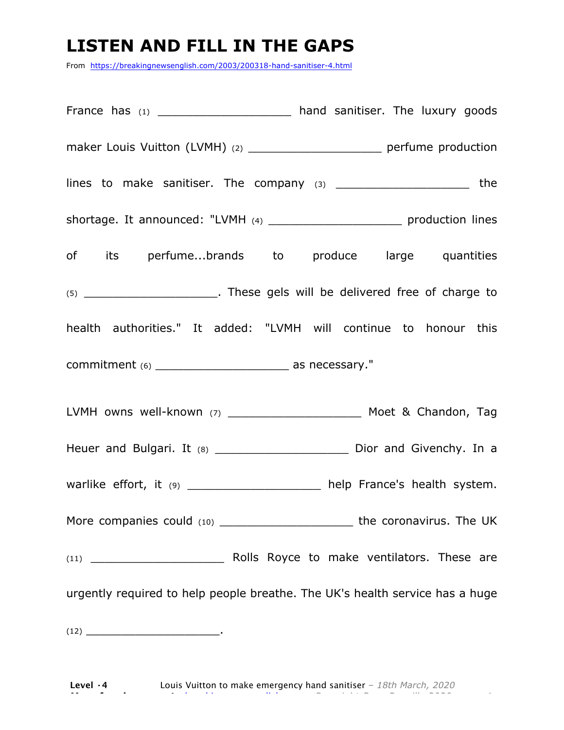### **LISTEN AND FILL IN THE GAPS**

From https://breakingnewsenglish.com/2003/200318-hand-sanitiser-4.html

France has (1) \_\_\_\_\_\_\_\_\_\_\_\_\_\_\_\_\_\_\_\_\_\_\_ hand sanitiser. The luxury goods maker Louis Vuitton (LVMH) (2) \_\_\_\_\_\_\_\_\_\_\_\_\_\_\_\_\_\_\_\_\_\_\_\_\_\_ perfume production lines to make sanitiser. The company  $(3)$  and  $(4)$  the same state  $\blacksquare$ shortage. It announced: "LVMH (4) \_\_\_\_\_\_\_\_\_\_\_\_\_\_\_\_\_\_\_\_\_\_\_\_\_\_ production lines of its perfume...brands to produce large quantities (5) \_\_\_\_\_\_\_\_\_\_\_\_\_\_\_\_\_\_\_. These gels will be delivered free of charge to health authorities." It added: "LVMH will continue to honour this commitment (6) \_\_\_\_\_\_\_\_\_\_\_\_\_\_\_\_\_\_\_ as necessary." LVMH owns well-known (7) \_\_\_\_\_\_\_\_\_\_\_\_\_\_\_\_\_\_\_ Moet & Chandon, Tag Heuer and Bulgari. It (8) \_\_\_\_\_\_\_\_\_\_\_\_\_\_\_\_\_\_\_\_\_\_\_\_ Dior and Givenchy. In a warlike effort, it (9) \_\_\_\_\_\_\_\_\_\_\_\_\_\_\_\_\_\_\_\_ help France's health system. More companies could (10) and the coronavirus. The UK (11) \_\_\_\_\_\_\_\_\_\_\_\_\_\_\_\_\_\_\_ Rolls Royce to make ventilators. These are urgently required to help people breathe. The UK's health service has a huge  $(12)$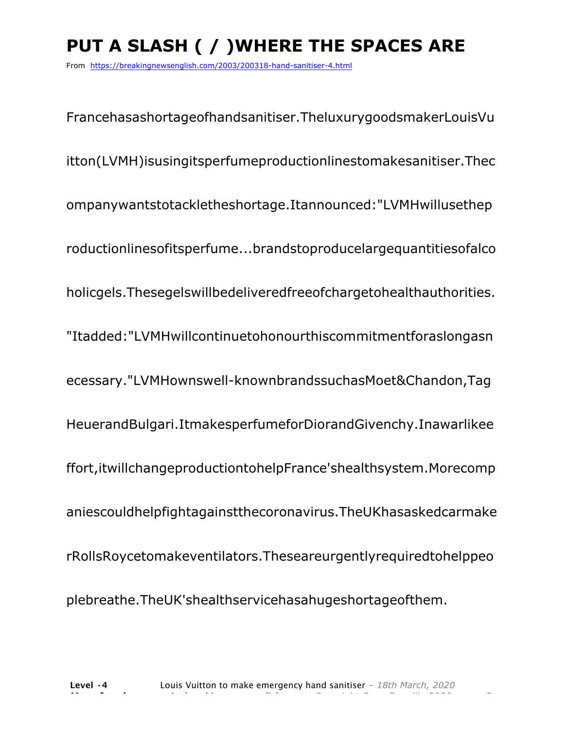# **PUT A SLASH ( / )WHERE THE SPACES ARE**

From https://breakingnewsenglish.com/2003/200318-hand-sanitiser-4.html

Francehasashortageofhandsanitiser.TheluxurygoodsmakerLouisVu itton(LVMH)isusingitsperfumeproductionlinestomakesanitiser.Thec ompanywantstotackletheshortage.Itannounced:"LVMHwillusethep roductionlinesofitsperfume...brandstoproducelargequantitiesofalco holicgels.Thesegelswillbedeliveredfreeofchargetohealthauthorities. "Itadded:"LVMHwillcontinuetohonourthiscommitmentforaslongasn ecessary."LVMHownswell-knownbrandssuchasMoet&Chandon,Tag HeuerandBulgari.ItmakesperfumeforDiorandGivenchy.Inawarlikee ffort,itwillchangeproductiontohelpFrance'shealthsystem.Morecomp aniescouldhelpfightagainstthecoronavirus.TheUKhasaskedcarmake rRollsRoycetomakeventilators.Theseareurgentlyrequiredtohelppeo plebreathe.TheUK'shealthservicehasahugeshortageofthem.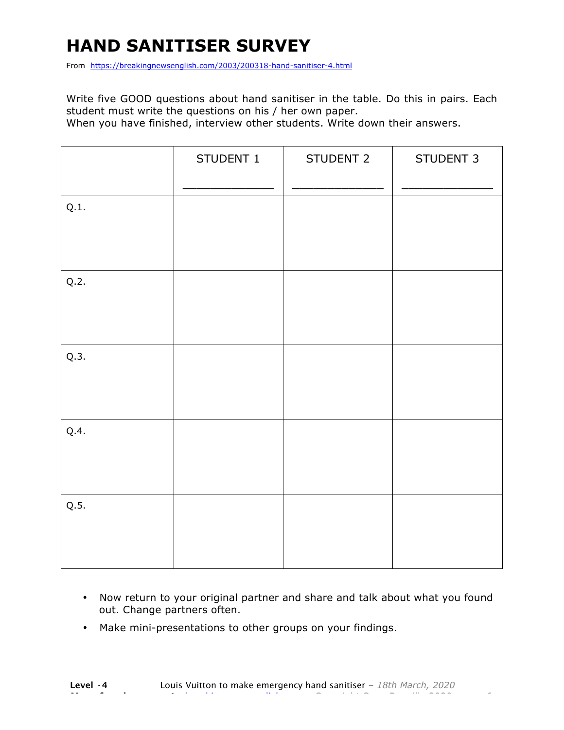# **HAND SANITISER SURVEY**

From https://breakingnewsenglish.com/2003/200318-hand-sanitiser-4.html

Write five GOOD questions about hand sanitiser in the table. Do this in pairs. Each student must write the questions on his / her own paper.

When you have finished, interview other students. Write down their answers.

|      | STUDENT 1 | STUDENT 2 | STUDENT 3 |
|------|-----------|-----------|-----------|
| Q.1. |           |           |           |
| Q.2. |           |           |           |
| Q.3. |           |           |           |
| Q.4. |           |           |           |
| Q.5. |           |           |           |

- Now return to your original partner and share and talk about what you found out. Change partners often.
- Make mini-presentations to other groups on your findings.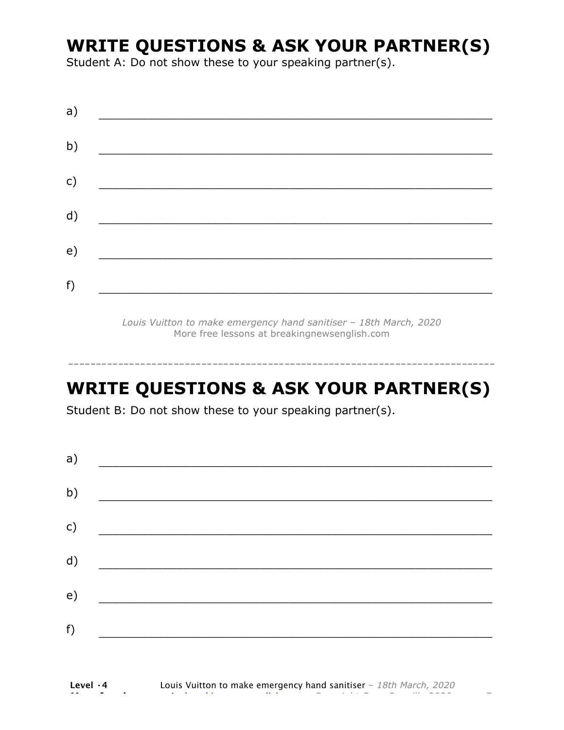### **WRITE QUESTIONS & ASK YOUR PARTNER(S)**

Student A: Do not show these to your speaking partner(s).

*Louis Vuitton to make emergency hand sanitiser – 18th March, 2020* More free lessons at breakingnewsenglish.com

### **WRITE QUESTIONS & ASK YOUR PARTNER(S)**

-----------------------------------------------------------------------------

Student B: Do not show these to your speaking partner(s).

| a)            |  |  |
|---------------|--|--|
| b)            |  |  |
| $\mathsf{c})$ |  |  |
| d)            |  |  |
| e)            |  |  |
| f)            |  |  |
|               |  |  |